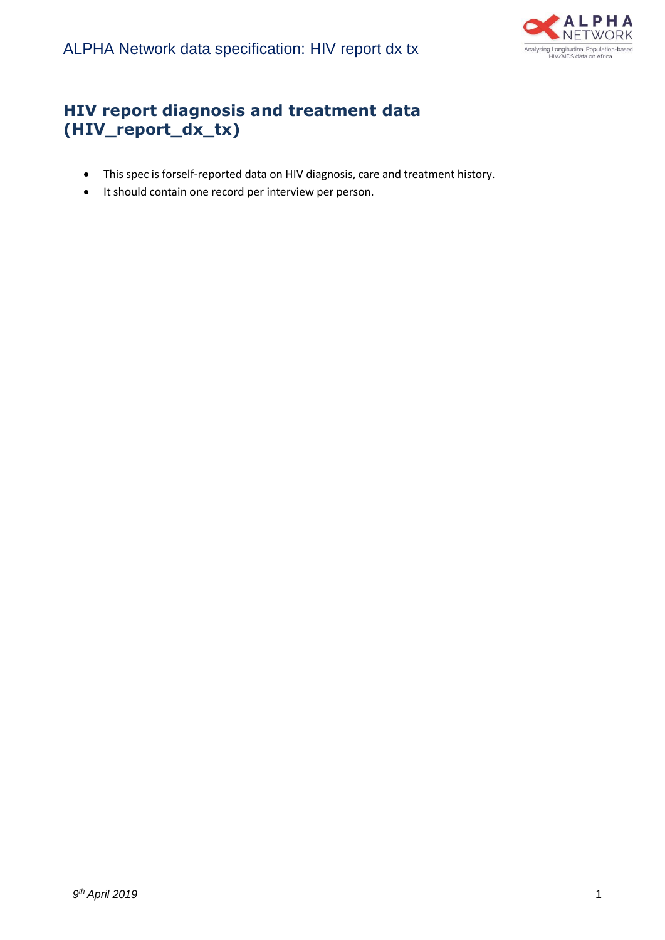

## **HIV report diagnosis and treatment data (HIV\_report\_dx\_tx)**

- This spec is forself-reported data on HIV diagnosis, care and treatment history.
- It should contain one record per interview per person.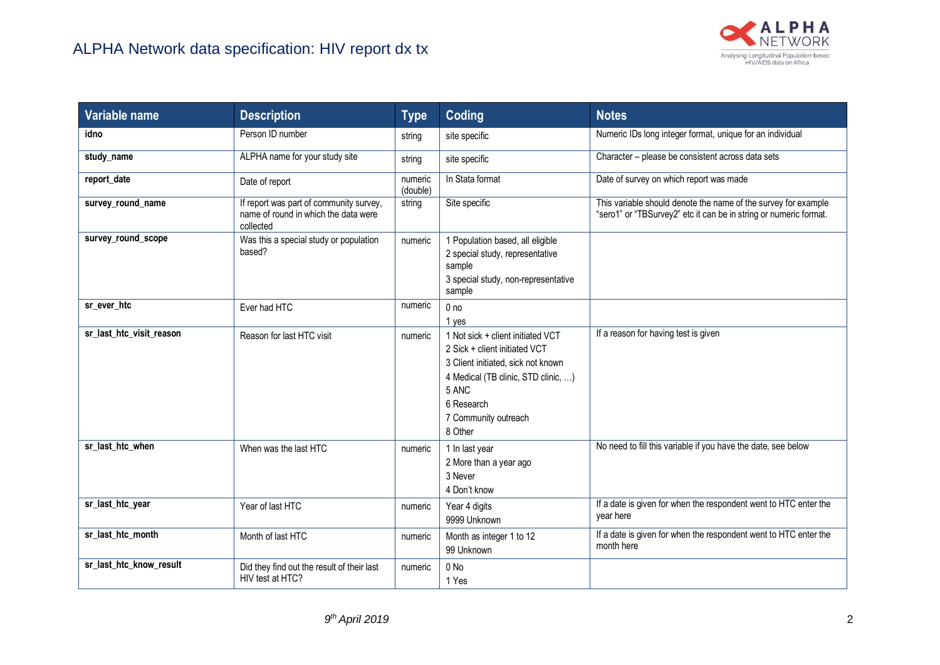

| Variable name            | <b>Description</b>                                                                           | <b>Type</b>         | Coding                                                                                                                                                                                                    | <b>Notes</b>                                                                                                                        |
|--------------------------|----------------------------------------------------------------------------------------------|---------------------|-----------------------------------------------------------------------------------------------------------------------------------------------------------------------------------------------------------|-------------------------------------------------------------------------------------------------------------------------------------|
| idno                     | Person ID number                                                                             | string              | site specific                                                                                                                                                                                             | Numeric IDs long integer format, unique for an individual                                                                           |
| study_name               | ALPHA name for your study site                                                               | string              | site specific                                                                                                                                                                                             | Character - please be consistent across data sets                                                                                   |
| report_date              | Date of report                                                                               | numeric<br>(double) | In Stata format                                                                                                                                                                                           | Date of survey on which report was made                                                                                             |
| survey_round_name        | If report was part of community survey,<br>name of round in which the data were<br>collected | string              | Site specific                                                                                                                                                                                             | This variable should denote the name of the survey for example<br>"sero1" or "TBSurvey2" etc it can be in string or numeric format. |
| survey round scope       | Was this a special study or population<br>based?                                             | numeric             | 1 Population based, all eligible<br>2 special study, representative<br>sample<br>3 special study, non-representative<br>sample                                                                            |                                                                                                                                     |
| sr_ever_htc              | Ever had HTC                                                                                 | numeric             | 0 <sub>no</sub><br>1 yes                                                                                                                                                                                  |                                                                                                                                     |
| sr_last_htc_visit_reason | Reason for last HTC visit                                                                    | numeric             | 1 Not sick + client initiated VCT<br>2 Sick + client initiated VCT<br>3 Client initiated, sick not known<br>4 Medical (TB clinic, STD clinic, )<br>5 ANC<br>6 Research<br>7 Community outreach<br>8 Other | If a reason for having test is given                                                                                                |
| sr_last_htc_when         | When was the last HTC                                                                        | numeric             | 1 In last year<br>2 More than a year ago<br>3 Never<br>4 Don't know                                                                                                                                       | No need to fill this variable if you have the date, see below                                                                       |
| sr_last_htc_year         | Year of last HTC                                                                             | numeric             | Year 4 digits<br>9999 Unknown                                                                                                                                                                             | If a date is given for when the respondent went to HTC enter the<br>year here                                                       |
| sr_last_htc_month        | Month of last HTC                                                                            | numeric             | Month as integer 1 to 12<br>99 Unknown                                                                                                                                                                    | If a date is given for when the respondent went to HTC enter the<br>month here                                                      |
| sr last htc know result  | Did they find out the result of their last<br>HIV test at HTC?                               | numeric             | 0 No<br>1 Yes                                                                                                                                                                                             |                                                                                                                                     |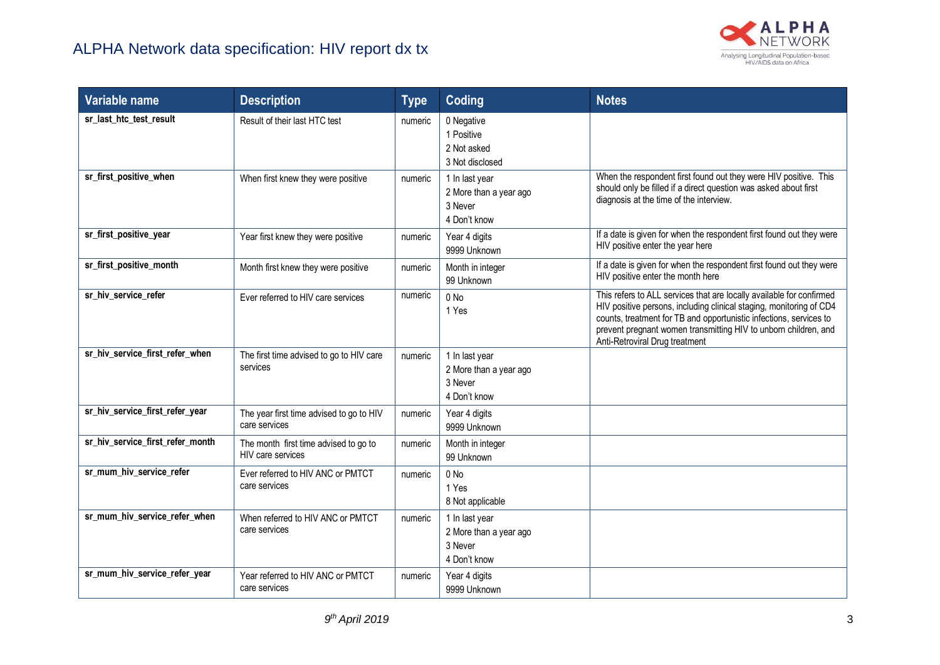

| Variable name                    | <b>Description</b>                                         | <b>Type</b> | Coding                                                              | <b>Notes</b>                                                                                                                                                                                                                                                                                                           |
|----------------------------------|------------------------------------------------------------|-------------|---------------------------------------------------------------------|------------------------------------------------------------------------------------------------------------------------------------------------------------------------------------------------------------------------------------------------------------------------------------------------------------------------|
| sr_last_htc_test_result          | Result of their last HTC test                              | numeric     | 0 Negative<br>1 Positive<br>2 Not asked<br>3 Not disclosed          |                                                                                                                                                                                                                                                                                                                        |
| sr_first_positive_when           | When first knew they were positive                         | numeric     | 1 In last year<br>2 More than a year ago<br>3 Never<br>4 Don't know | When the respondent first found out they were HIV positive. This<br>should only be filled if a direct question was asked about first<br>diagnosis at the time of the interview.                                                                                                                                        |
| sr_first_positive_year           | Year first knew they were positive                         | numeric     | Year 4 digits<br>9999 Unknown                                       | If a date is given for when the respondent first found out they were<br>HIV positive enter the year here                                                                                                                                                                                                               |
| sr_first_positive_month          | Month first knew they were positive                        | numeric     | Month in integer<br>99 Unknown                                      | If a date is given for when the respondent first found out they were<br>HIV positive enter the month here                                                                                                                                                                                                              |
| sr hiv service refer             | Ever referred to HIV care services                         | numeric     | 0 No<br>1 Yes                                                       | This refers to ALL services that are locally available for confirmed<br>HIV positive persons, including clinical staging, monitoring of CD4<br>counts, treatment for TB and opportunistic infections, services to<br>prevent pregnant women transmitting HIV to unborn children, and<br>Anti-Retroviral Drug treatment |
| sr_hiv_service_first_refer_when  | The first time advised to go to HIV care<br>services       | numeric     | 1 In last year<br>2 More than a year ago<br>3 Never<br>4 Don't know |                                                                                                                                                                                                                                                                                                                        |
| sr_hiv_service_first_refer_year  | The year first time advised to go to HIV<br>care services  | numeric     | Year 4 digits<br>9999 Unknown                                       |                                                                                                                                                                                                                                                                                                                        |
| sr_hiv_service_first_refer_month | The month first time advised to go to<br>HIV care services | numeric     | Month in integer<br>99 Unknown                                      |                                                                                                                                                                                                                                                                                                                        |
| sr_mum_hiv_service_refer         | Ever referred to HIV ANC or PMTCT<br>care services         | numeric     | 0 No<br>1 Yes<br>8 Not applicable                                   |                                                                                                                                                                                                                                                                                                                        |
| sr_mum_hiv_service_refer_when    | When referred to HIV ANC or PMTCT<br>care services         | numeric     | 1 In last year<br>2 More than a year ago<br>3 Never<br>4 Don't know |                                                                                                                                                                                                                                                                                                                        |
| sr_mum_hiv_service_refer_year    | Year referred to HIV ANC or PMTCT<br>care services         | numeric     | Year 4 digits<br>9999 Unknown                                       |                                                                                                                                                                                                                                                                                                                        |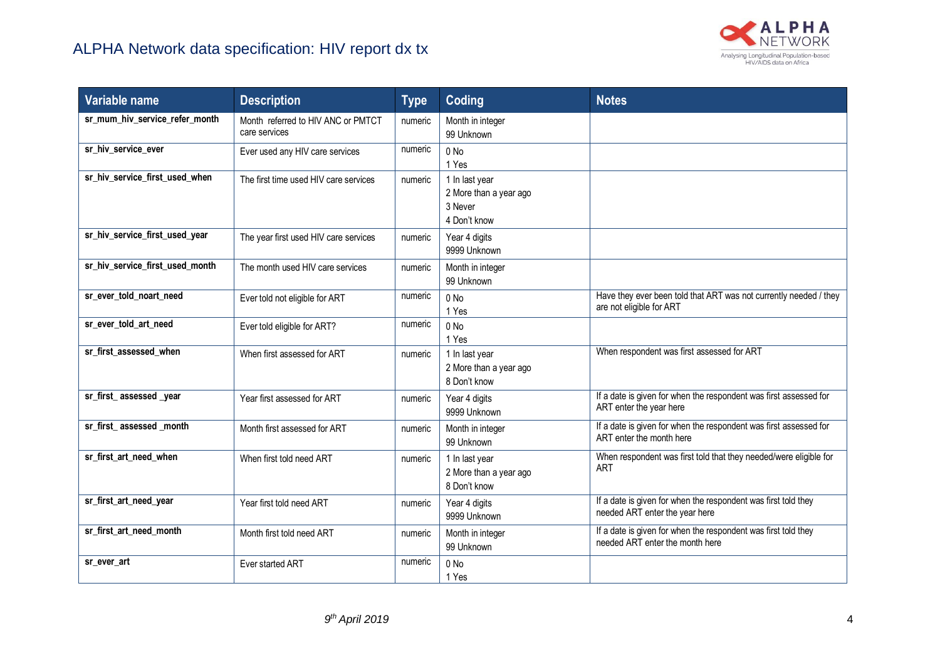## ALPHA Network data specification: HIV report dx tx



| Variable name                   | <b>Description</b>                                  | <b>Type</b> | Coding                                                              | <b>Notes</b>                                                                                      |
|---------------------------------|-----------------------------------------------------|-------------|---------------------------------------------------------------------|---------------------------------------------------------------------------------------------------|
| sr mum hiv service refer month  | Month referred to HIV ANC or PMTCT<br>care services | numeric     | Month in integer<br>99 Unknown                                      |                                                                                                   |
| sr_hiv_service_ever             | Ever used any HIV care services                     | numeric     | 0 No<br>1 Yes                                                       |                                                                                                   |
| sr_hiv_service_first_used_when  | The first time used HIV care services               | numeric     | 1 In last year<br>2 More than a year ago<br>3 Never<br>4 Don't know |                                                                                                   |
| sr_hiv_service_first_used_year  | The year first used HIV care services               | numeric     | Year 4 digits<br>9999 Unknown                                       |                                                                                                   |
| sr_hiv_service_first_used_month | The month used HIV care services                    | numeric     | Month in integer<br>99 Unknown                                      |                                                                                                   |
| sr_ever_told_noart_need         | Ever told not eligible for ART                      | numeric     | 0 No<br>1 Yes                                                       | Have they ever been told that ART was not currently needed / they<br>are not eligible for ART     |
| sr ever told art need           | Ever told eligible for ART?                         | numeric     | 0 No<br>1 Yes                                                       |                                                                                                   |
| sr_first_assessed_when          | When first assessed for ART                         | numeric     | 1 In last year<br>2 More than a year ago<br>8 Don't know            | When respondent was first assessed for ART                                                        |
| sr_first_assessed_year          | Year first assessed for ART                         | numeric     | Year 4 digits<br>9999 Unknown                                       | If a date is given for when the respondent was first assessed for<br>ART enter the year here      |
| sr_first_assessed_month         | Month first assessed for ART                        | numeric     | Month in integer<br>99 Unknown                                      | If a date is given for when the respondent was first assessed for<br>ART enter the month here     |
| sr first art need when          | When first told need ART                            | numeric     | 1 In last year<br>2 More than a year ago<br>8 Don't know            | When respondent was first told that they needed/were eligible for<br><b>ART</b>                   |
| sr_first_art_need_year          | Year first told need ART                            | numeric     | Year 4 digits<br>9999 Unknown                                       | If a date is given for when the respondent was first told they<br>needed ART enter the year here  |
| sr_first_art_need_month         | Month first told need ART                           | numeric     | Month in integer<br>99 Unknown                                      | If a date is given for when the respondent was first told they<br>needed ART enter the month here |
| sr_ever_art                     | Ever started ART                                    | numeric     | $0$ No<br>1 Yes                                                     |                                                                                                   |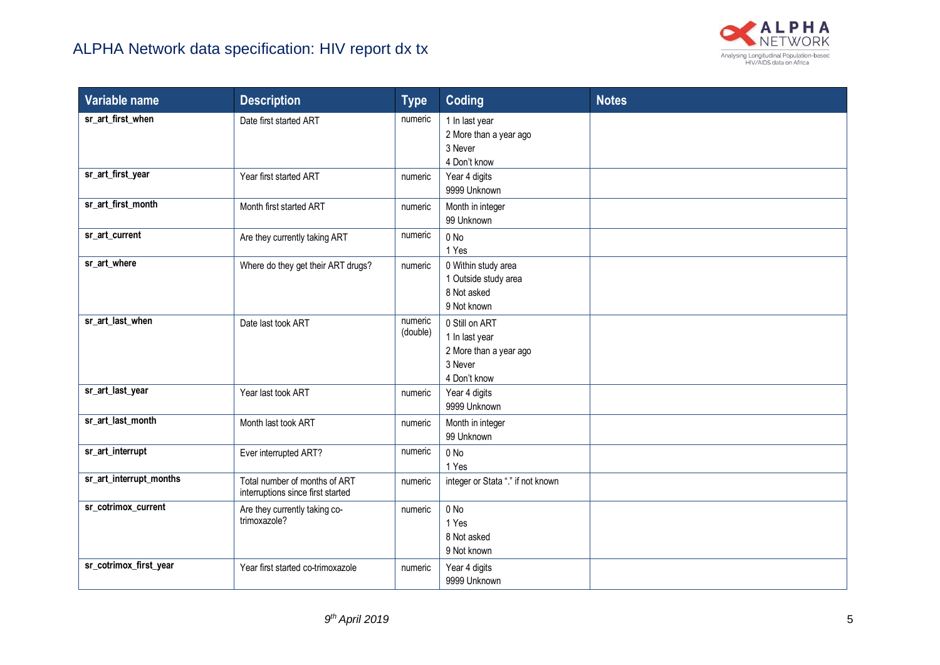

| Variable name                          | <b>Description</b>                                                 | <b>Type</b>         | <b>Coding</b>                                                                         | <b>Notes</b> |
|----------------------------------------|--------------------------------------------------------------------|---------------------|---------------------------------------------------------------------------------------|--------------|
| sr_art_first_when<br>sr_art_first_year | Date first started ART<br>Year first started ART                   | numeric<br>numeric  | 1 In last year<br>2 More than a year ago<br>3 Never<br>4 Don't know<br>Year 4 digits  |              |
|                                        |                                                                    |                     | 9999 Unknown                                                                          |              |
| sr art first month                     | Month first started ART                                            | numeric             | Month in integer<br>99 Unknown                                                        |              |
| sr art current                         | Are they currently taking ART                                      | numeric             | 0 No<br>1 Yes                                                                         |              |
| sr_art_where                           | Where do they get their ART drugs?                                 | numeric             | 0 Within study area<br>1 Outside study area<br>8 Not asked<br>9 Not known             |              |
| sr art last when                       | Date last took ART                                                 | numeric<br>(double) | 0 Still on ART<br>1 In last year<br>2 More than a year ago<br>3 Never<br>4 Don't know |              |
| sr_art_last_year                       | Year last took ART                                                 | numeric             | Year 4 digits<br>9999 Unknown                                                         |              |
| sr_art_last_month                      | Month last took ART                                                | numeric             | Month in integer<br>99 Unknown                                                        |              |
| sr_art_interrupt                       | Ever interrupted ART?                                              | numeric             | 0 No<br>1 Yes                                                                         |              |
| sr_art_interrupt_months                | Total number of months of ART<br>interruptions since first started | numeric             | integer or Stata "." if not known                                                     |              |
| sr_cotrimox_current                    | Are they currently taking co-<br>trimoxazole?                      | numeric             | 0 No<br>1 Yes<br>8 Not asked<br>9 Not known                                           |              |
| sr_cotrimox_first_year                 | Year first started co-trimoxazole                                  | numeric             | Year 4 digits<br>9999 Unknown                                                         |              |